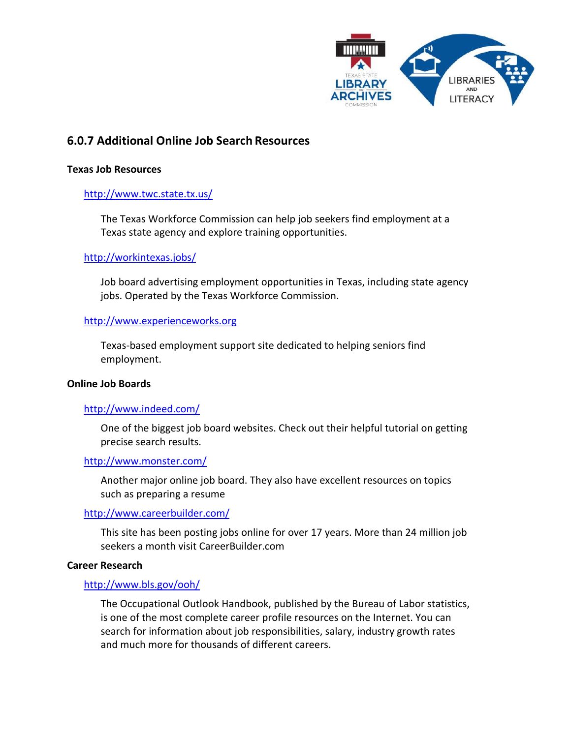

# **6.0.7 Additional Online Job Search Resources**

#### **Texas Job Resources**

# <http://www.twc.state.tx.us/>

The Texas Workforce Commission can help job seekers find employment at a Texas state agency and explore training opportunities.

# <http://workintexas.jobs/>

Job board advertising employment opportunities in Texas, including state agency jobs. Operated by the Texas Workforce Commission.

#### [http://www.experienceworks.org](http://www.experienceworks.org/site/PageServer?pagename=State_Texas_Home)

Texas-based employment support site dedicated to helping seniors find employment.

#### **Online Job Boards**

#### <http://www.indeed.com/>

One of the biggest job board websites. Check out their helpful tutorial on getting precise search results.

<http://www.monster.com/>

Another major online job board. They also have excellent resources on topics such as preparing a resume

#### <http://www.careerbuilder.com/>

This site has been posting jobs online for over 17 years. More than 24 million job seekers a month visit CareerBuilder.com

#### **Career Research**

#### <http://www.bls.gov/ooh/>

The Occupational Outlook Handbook, published by the Bureau of Labor statistics, is one of the most complete career profile resources on the Internet. You can search for information about job responsibilities, salary, industry growth rates and much more for thousands of different careers.